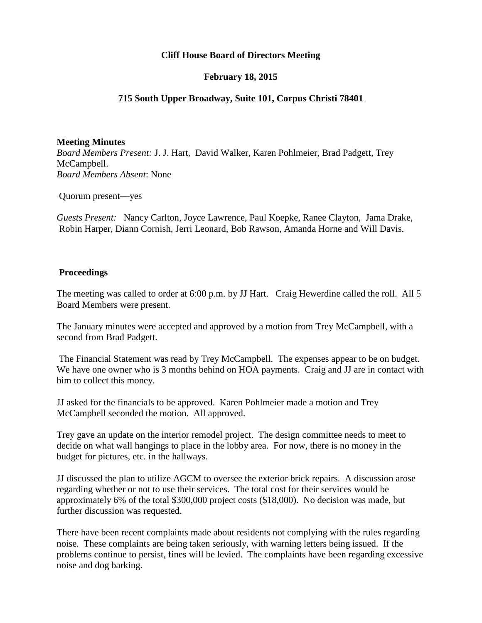## **Cliff House Board of Directors Meeting**

### **February 18, 2015**

### **715 South Upper Broadway, Suite 101, Corpus Christi 78401**

#### **Meeting Minutes**

*Board Members Present:* J. J. Hart, David Walker, Karen Pohlmeier, Brad Padgett, Trey McCampbell. *Board Members Absent*: None

Quorum present—yes

*Guests Present:* Nancy Carlton, Joyce Lawrence, Paul Koepke, Ranee Clayton, Jama Drake, Robin Harper, Diann Cornish, Jerri Leonard, Bob Rawson, Amanda Horne and Will Davis.

#### **Proceedings**

The meeting was called to order at 6:00 p.m. by JJ Hart. Craig Hewerdine called the roll. All 5 Board Members were present.

The January minutes were accepted and approved by a motion from Trey McCampbell, with a second from Brad Padgett.

The Financial Statement was read by Trey McCampbell. The expenses appear to be on budget. We have one owner who is 3 months behind on HOA payments. Craig and JJ are in contact with him to collect this money.

JJ asked for the financials to be approved. Karen Pohlmeier made a motion and Trey McCampbell seconded the motion. All approved.

Trey gave an update on the interior remodel project. The design committee needs to meet to decide on what wall hangings to place in the lobby area. For now, there is no money in the budget for pictures, etc. in the hallways.

JJ discussed the plan to utilize AGCM to oversee the exterior brick repairs. A discussion arose regarding whether or not to use their services. The total cost for their services would be approximately 6% of the total \$300,000 project costs (\$18,000). No decision was made, but further discussion was requested.

There have been recent complaints made about residents not complying with the rules regarding noise. These complaints are being taken seriously, with warning letters being issued. If the problems continue to persist, fines will be levied. The complaints have been regarding excessive noise and dog barking.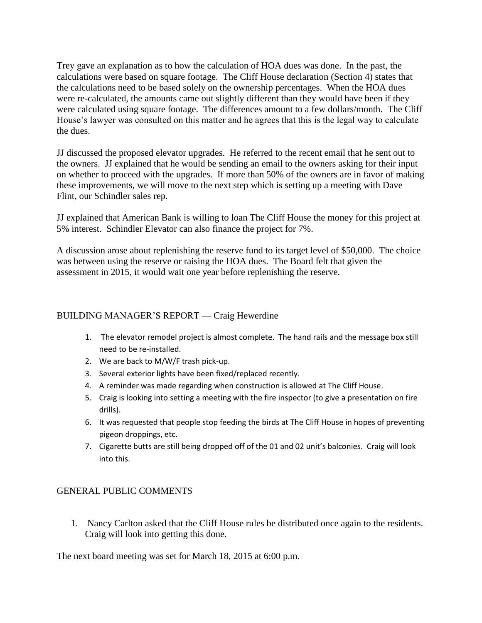Trey gave an explanation as to how the calculation of HOA dues was done. In the past, the calculations were based on square footage. The Cliff House declaration (Section 4) states that the calculations need to be based solely on the ownership percentages. When the HOA dues were re-calculated, the amounts came out slightly different than they would have been if they were calculated using square footage. The differences amount to a few dollars/month. The Cliff House's lawyer was consulted on this matter and he agrees that this is the legal way to calculate the dues.

JJ discussed the proposed elevator upgrades. He referred to the recent email that he sent out to the owners. JJ explained that he would be sending an email to the owners asking for their input on whether to proceed with the upgrades. If more than 50% of the owners are in favor of making these improvements, we will move to the next step which is setting up a meeting with Dave Flint, our Schindler sales rep.

JJ explained that American Bank is willing to loan The Cliff House the money for this project at 5% interest. Schindler Elevator can also finance the project for 7%.

A discussion arose about replenishing the reserve fund to its target level of \$50,000. The choice was between using the reserve or raising the HOA dues. The Board felt that given the assessment in 2015, it would wait one year before replenishing the reserve.

## BUILDING MANAGER'S REPORT — Craig Hewerdine

- 1. The elevator remodel project is almost complete. The hand rails and the message box still need to be re-installed.
- 2. We are back to M/W/F trash pick-up.
- 3. Several exterior lights have been fixed/replaced recently.
- 4. A reminder was made regarding when construction is allowed at The Cliff House.
- 5. Craig is looking into setting a meeting with the fire inspector (to give a presentation on fire drills).
- 6. It was requested that people stop feeding the birds at The Cliff House in hopes of preventing pigeon droppings, etc.
- 7. Cigarette butts are still being dropped off of the 01 and 02 unit's balconies. Craig will look into this.

# GENERAL PUBLIC COMMENTS

1. Nancy Carlton asked that the Cliff House rules be distributed once again to the residents. Craig will look into getting this done.

The next board meeting was set for March 18, 2015 at 6:00 p.m.